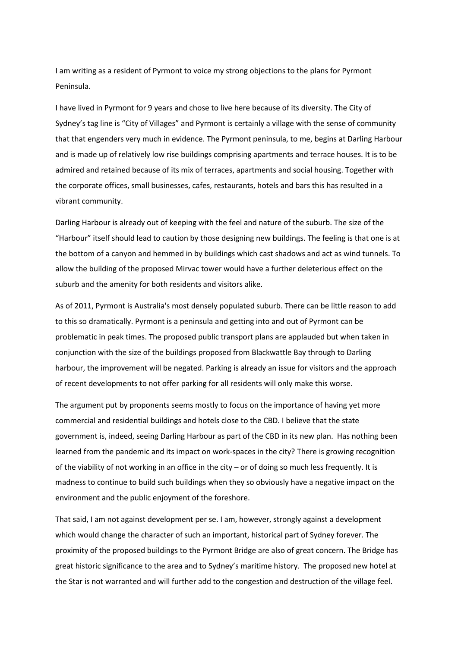I am writing as a resident of Pyrmont to voice my strong objections to the plans for Pyrmont Peninsula.

I have lived in Pyrmont for 9 years and chose to live here because of its diversity. The City of Sydney's tag line is "City of Villages" and Pyrmont is certainly a village with the sense of community that that engenders very much in evidence. The Pyrmont peninsula, to me, begins at Darling Harbour and is made up of relatively low rise buildings comprising apartments and terrace houses. It is to be admired and retained because of its mix of terraces, apartments and social housing. Together with the corporate offices, small businesses, cafes, restaurants, hotels and bars this has resulted in a vibrant community.

Darling Harbour is already out of keeping with the feel and nature of the suburb. The size of the "Harbour" itself should lead to caution by those designing new buildings. The feeling is that one is at the bottom of a canyon and hemmed in by buildings which cast shadows and act as wind tunnels. To allow the building of the proposed Mirvac tower would have a further deleterious effect on the suburb and the amenity for both residents and visitors alike.

As of 2011, Pyrmont is Australia's most densely populated suburb. There can be little reason to add to this so dramatically. Pyrmont is a peninsula and getting into and out of Pyrmont can be problematic in peak times. The proposed public transport plans are applauded but when taken in conjunction with the size of the buildings proposed from Blackwattle Bay through to Darling harbour, the improvement will be negated. Parking is already an issue for visitors and the approach of recent developments to not offer parking for all residents will only make this worse.

The argument put by proponents seems mostly to focus on the importance of having yet more commercial and residential buildings and hotels close to the CBD. I believe that the state government is, indeed, seeing Darling Harbour as part of the CBD in its new plan. Has nothing been learned from the pandemic and its impact on work-spaces in the city? There is growing recognition of the viability of not working in an office in the city – or of doing so much less frequently. It is madness to continue to build such buildings when they so obviously have a negative impact on the environment and the public enjoyment of the foreshore.

That said, I am not against development per se. I am, however, strongly against a development which would change the character of such an important, historical part of Sydney forever. The proximity of the proposed buildings to the Pyrmont Bridge are also of great concern. The Bridge has great historic significance to the area and to Sydney's maritime history. The proposed new hotel at the Star is not warranted and will further add to the congestion and destruction of the village feel.